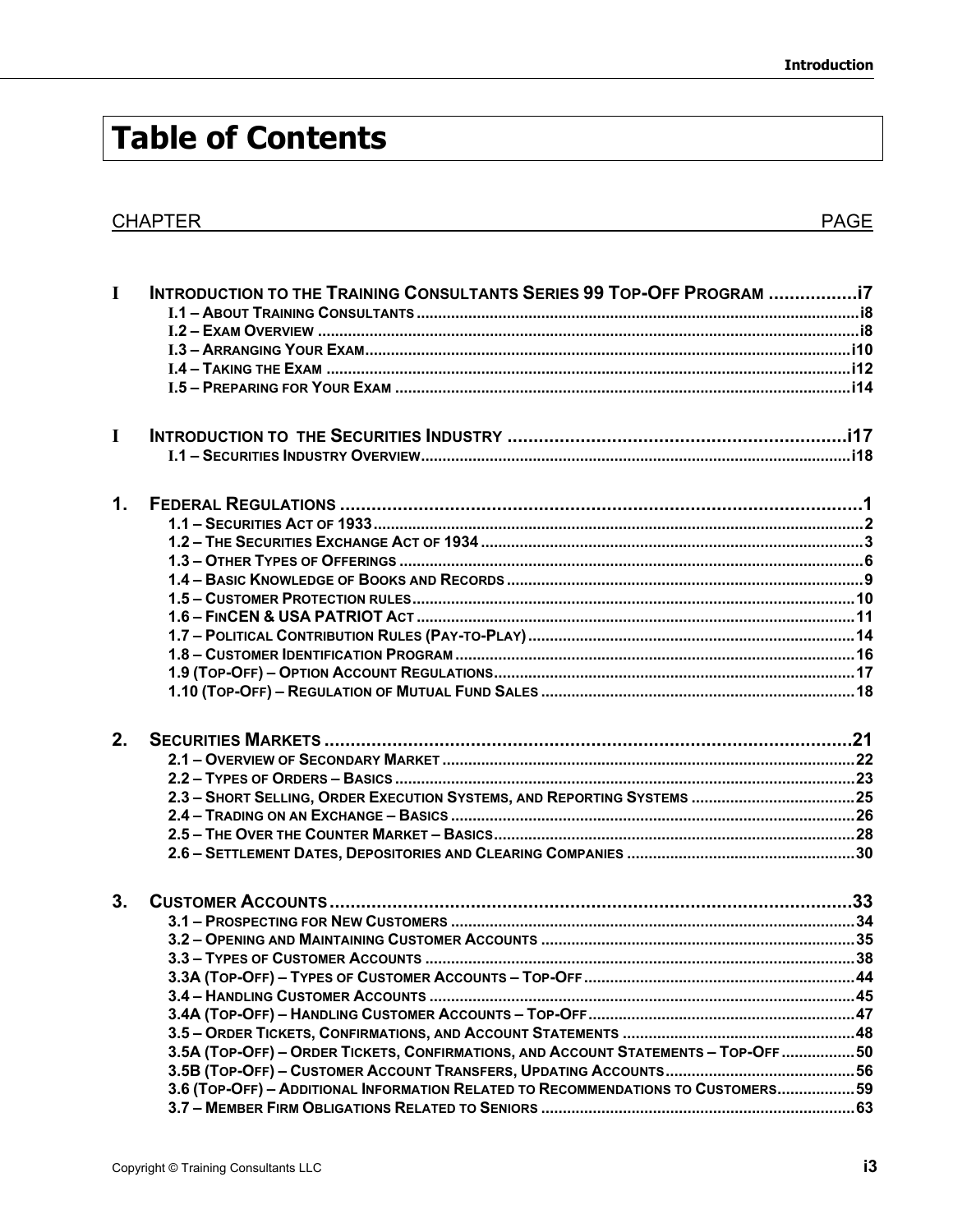## **Table of Contents**

## **CHAPTER**

| $\mathbf I$    | INTRODUCTION TO THE TRAINING CONSULTANTS SERIES 99 TOP-OFF PROGRAM 17                                                                                                   |  |
|----------------|-------------------------------------------------------------------------------------------------------------------------------------------------------------------------|--|
| $\mathbf I$    |                                                                                                                                                                         |  |
| 1.             |                                                                                                                                                                         |  |
| 2 <sub>1</sub> | 2.3 - SHORT SELLING, ORDER EXECUTION SYSTEMS, AND REPORTING SYSTEMS 25                                                                                                  |  |
| 3.             | 3.5A (TOP-OFF) - ORDER TICKETS, CONFIRMATIONS, AND ACCOUNT STATEMENTS - TOP-OFF 50<br>3.6 (TOP-OFF) - ADDITIONAL INFORMATION RELATED TO RECOMMENDATIONS TO CUSTOMERS 59 |  |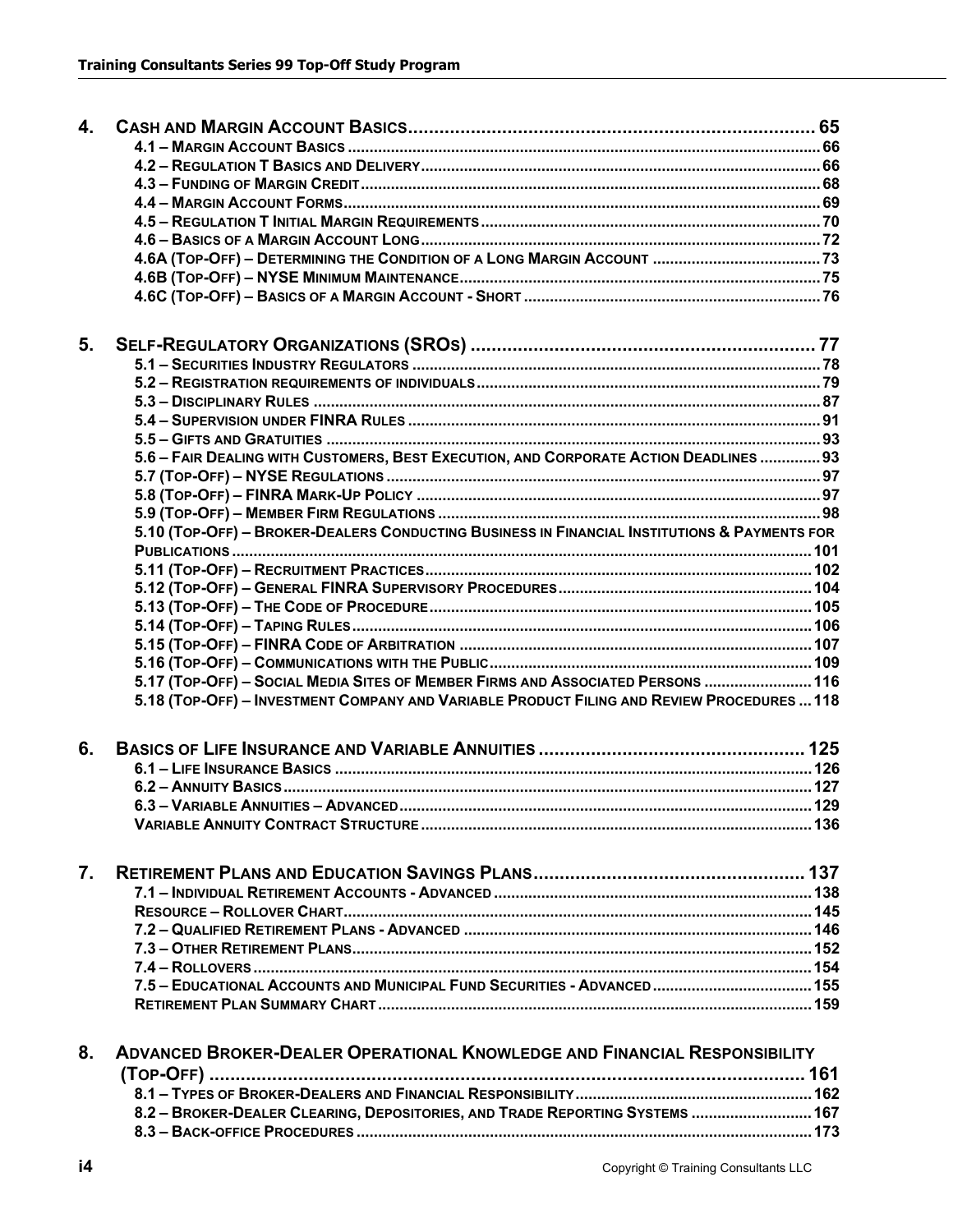| 4. |                                                                                              |  |
|----|----------------------------------------------------------------------------------------------|--|
|    |                                                                                              |  |
|    |                                                                                              |  |
|    |                                                                                              |  |
|    |                                                                                              |  |
|    |                                                                                              |  |
|    |                                                                                              |  |
|    |                                                                                              |  |
|    |                                                                                              |  |
|    |                                                                                              |  |
| 5. |                                                                                              |  |
|    |                                                                                              |  |
|    |                                                                                              |  |
|    |                                                                                              |  |
|    |                                                                                              |  |
|    |                                                                                              |  |
|    | 5.6 - FAIR DEALING WITH CUSTOMERS, BEST EXECUTION, AND CORPORATE ACTION DEADLINES  93        |  |
|    |                                                                                              |  |
|    |                                                                                              |  |
|    |                                                                                              |  |
|    | 5.10 (TOP-OFF) - BROKER-DEALERS CONDUCTING BUSINESS IN FINANCIAL INSTITUTIONS & PAYMENTS FOR |  |
|    |                                                                                              |  |
|    |                                                                                              |  |
|    |                                                                                              |  |
|    |                                                                                              |  |
|    |                                                                                              |  |
|    |                                                                                              |  |
|    |                                                                                              |  |
|    | 5.17 (TOP-OFF) - SOCIAL MEDIA SITES OF MEMBER FIRMS AND ASSOCIATED PERSONS  116              |  |
|    | 5.18 (TOP-OFF) - INVESTMENT COMPANY AND VARIABLE PRODUCT FILING AND REVIEW PROCEDURES  118   |  |
| 6. |                                                                                              |  |
|    |                                                                                              |  |
|    |                                                                                              |  |
|    |                                                                                              |  |
|    |                                                                                              |  |
|    |                                                                                              |  |
| 7. |                                                                                              |  |
|    |                                                                                              |  |
|    |                                                                                              |  |
|    |                                                                                              |  |
|    |                                                                                              |  |
|    |                                                                                              |  |
|    | 7.5 - EDUCATIONAL ACCOUNTS AND MUNICIPAL FUND SECURITIES - ADVANCED  155                     |  |
|    |                                                                                              |  |
|    |                                                                                              |  |
| 8. | <b>ADVANCED BROKER-DEALER OPERATIONAL KNOWLEDGE AND FINANCIAL RESPONSIBILITY</b>             |  |
|    |                                                                                              |  |
|    |                                                                                              |  |
|    | 8.2 - BROKER-DEALER CLEARING, DEPOSITORIES, AND TRADE REPORTING SYSTEMS  167                 |  |
|    |                                                                                              |  |
|    |                                                                                              |  |